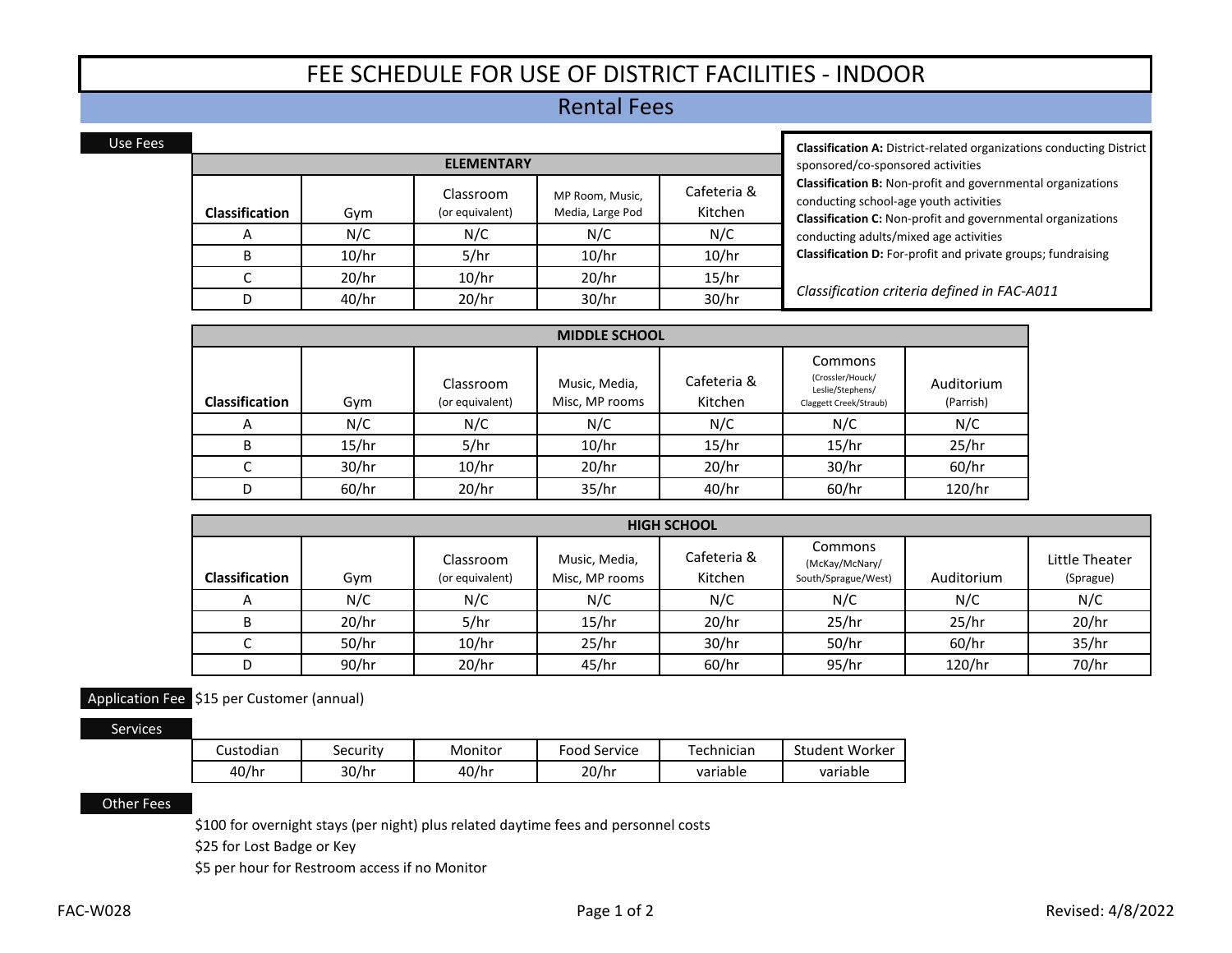# FEE SCHEDULE FOR USE OF DISTRICT FACILITIES ‐ INDOOR

## Rental Fees

| <b>ELEMENTARY</b>                                                                                                             |       |       |       |       |  |  |
|-------------------------------------------------------------------------------------------------------------------------------|-------|-------|-------|-------|--|--|
| Cafeteria &<br>Classroom<br>MP Room, Music,<br>Kitchen<br>Media, Large Pod<br>(or equivalent)<br><b>Classification</b><br>Gym |       |       |       |       |  |  |
| A                                                                                                                             | N/C   | N/C   | N/C   | N/C   |  |  |
| B                                                                                                                             | 10/hr | 5/hr  | 10/hr | 10/hr |  |  |
|                                                                                                                               | 20/hr | 10/hr | 20/hr | 15/hr |  |  |
|                                                                                                                               | 40/hr | 20/hr | 30/hr | 30/hr |  |  |

**Classification A:** District‐related organizations conducting District sponsored/co‐sponsored activities **Classification B:** Non‐profit and governmental organizations conducting school‐age youth activities **Classification C:** Non‐profit and governmental organizations conducting adults/mixed age activities **Classification D:** For‐profit and private groups; fundraising

*Classification criteria defined in FAC‐A011*

| <b>MIDDLE SCHOOL</b>  |       |                              |                                 |                        |                                                                           |                         |  |
|-----------------------|-------|------------------------------|---------------------------------|------------------------|---------------------------------------------------------------------------|-------------------------|--|
| <b>Classification</b> | Gym   | Classroom<br>(or equivalent) | Music, Media,<br>Misc, MP rooms | Cafeteria &<br>Kitchen | Commons<br>(Crossler/Houck/<br>Leslie/Stephens/<br>Claggett Creek/Straub) | Auditorium<br>(Parrish) |  |
| A                     | N/C   | N/C                          | N/C                             | N/C                    | N/C                                                                       | N/C                     |  |
| B                     | 15/hr | 5/hr                         | 10/hr                           | 15/hr                  | 15/hr                                                                     | 25/hr                   |  |
|                       | 30/hr | 10/hr                        | 20/hr                           | 20/hr                  | 30/hr                                                                     | 60/hr                   |  |
| D                     | 60/hr | 20/hr                        | 35/hr                           | 40/hr                  | 60/hr                                                                     | 120/hr                  |  |

| <b>HIGH SCHOOL</b>    |       |                              |                                 |                        |                                                  |            |                             |  |
|-----------------------|-------|------------------------------|---------------------------------|------------------------|--------------------------------------------------|------------|-----------------------------|--|
| <b>Classification</b> | Gym   | Classroom<br>(or equivalent) | Music, Media,<br>Misc, MP rooms | Cafeteria &<br>Kitchen | Commons<br>(McKay/McNary/<br>South/Sprague/West) | Auditorium | Little Theater<br>(Sprague) |  |
| $\overline{A}$        | N/C   | N/C                          | N/C                             | N/C                    | N/C                                              | N/C        | N/C                         |  |
|                       | 20/hr | 5/hr                         | 15/hr                           | 20/hr                  | 25/hr                                            | 25/hr      | 20/hr                       |  |
|                       | 50/hr | 10/hr                        | 25/hr                           | 30/hr                  | 50/hr                                            | 60/hr      | 35/hr                       |  |
| D                     | 90/hr | 20/hr                        | 45/hr                           | 60/hr                  | 95/hr                                            | 120/hr     | 70/hr                       |  |

### Application Fee \$15 per Customer (annual)

Services

Use Fees

| <br>Custodian | security | Monitor | Service<br>-ood | -<br>echnician | Worker<br>student |
|---------------|----------|---------|-----------------|----------------|-------------------|
| 40/hr         | 30/hr    | 40/hr   | 20/hr           | variable       | variable          |

#### Other Fees

\$100 for overnight stays (per night) plus related daytime fees and personnel costs

\$25 for Lost Badge or Key

\$5 per hour for Restroom access if no Monitor